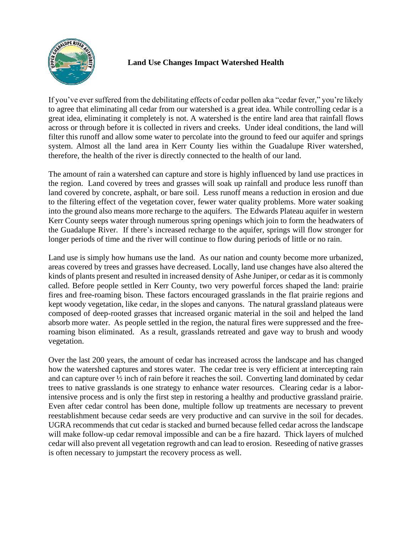

## **Land Use Changes Impact Watershed Health**

If you've ever suffered from the debilitating effects of cedar pollen aka "cedar fever," you're likely to agree that eliminating all cedar from our watershed is a great idea. While controlling cedar is a great idea, eliminating it completely is not. A watershed is the entire land area that rainfall flows across or through before it is collected in rivers and creeks. Under ideal conditions, the land will filter this runoff and allow some water to percolate into the ground to feed our aquifer and springs system. Almost all the land area in Kerr County lies within the Guadalupe River watershed, therefore, the health of the river is directly connected to the health of our land.

The amount of rain a watershed can capture and store is highly influenced by land use practices in the region. Land covered by trees and grasses will soak up rainfall and produce less runoff than land covered by concrete, asphalt, or bare soil. Less runoff means a reduction in erosion and due to the filtering effect of the vegetation cover, fewer water quality problems. More water soaking into the ground also means more recharge to the aquifers. The Edwards Plateau aquifer in western Kerr County seeps water through numerous spring openings which join to form the headwaters of the Guadalupe River. If there's increased recharge to the aquifer, springs will flow stronger for longer periods of time and the river will continue to flow during periods of little or no rain.

Land use is simply how humans use the land. As our nation and county become more urbanized, areas covered by trees and grasses have decreased. Locally, land use changes have also altered the kinds of plants present and resulted in increased density of Ashe Juniper, or cedar as it is commonly called. Before people settled in Kerr County, two very powerful forces shaped the land: prairie fires and free-roaming bison. These factors encouraged grasslands in the flat prairie regions and kept woody vegetation, like cedar, in the slopes and canyons. The natural grassland plateaus were composed of deep-rooted grasses that increased organic material in the soil and helped the land absorb more water. As people settled in the region, the natural fires were suppressed and the freeroaming bison eliminated. As a result, grasslands retreated and gave way to brush and woody vegetation.

Over the last 200 years, the amount of cedar has increased across the landscape and has changed how the watershed captures and stores water. The cedar tree is very efficient at intercepting rain and can capture over ½ inch of rain before it reaches the soil. Converting land dominated by cedar trees to native grasslands is one strategy to enhance water resources. Clearing cedar is a laborintensive process and is only the first step in restoring a healthy and productive grassland prairie. Even after cedar control has been done, multiple follow up treatments are necessary to prevent reestablishment because cedar seeds are very productive and can survive in the soil for decades. UGRA recommends that cut cedar is stacked and burned because felled cedar across the landscape will make follow-up cedar removal impossible and can be a fire hazard. Thick layers of mulched cedar will also prevent all vegetation regrowth and can lead to erosion. Reseeding of native grasses is often necessary to jumpstart the recovery process as well.